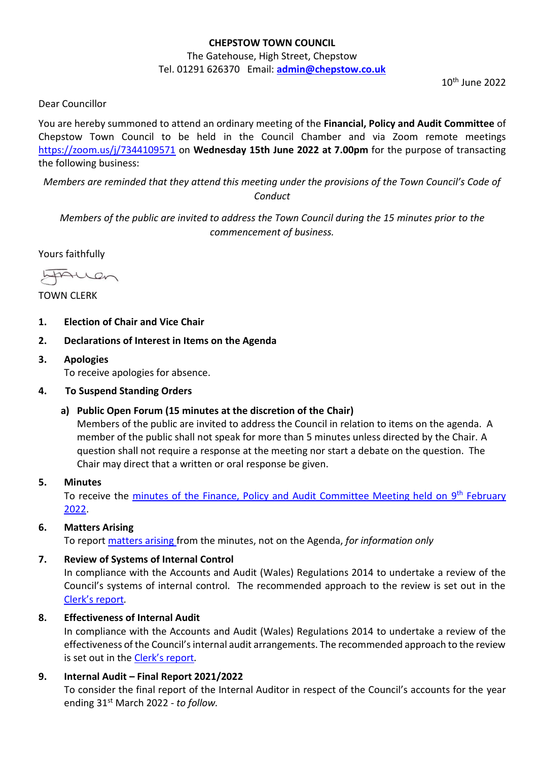## **CHEPSTOW TOWN COUNCIL**

#### The Gatehouse, High Street, Chepstow Tel. 01291 626370 Email: **[admin@chepstow.co.uk](mailto:admin@chepstow.co.uk)**

10th June 2022

Dear Councillor

You are hereby summoned to attend an ordinary meeting of the **Financial, Policy and Audit Committee** of Chepstow Town Council to be held in the Council Chamber and via Zoom remote meetings <https://zoom.us/j/7344109571> on **Wednesday 15th June 2022 at 7.00pm** for the purpose of transacting the following business:

*Members are reminded that they attend this meeting under the provisions of the Town Council's Code of Conduct*

*Members of the public are invited to address the Town Council during the 15 minutes prior to the commencement of business.*

Yours faithfully

frauen

TOWN CLERK

- **1. Election of Chair and Vice Chair**
- **2. Declarations of Interest in Items on the Agenda**
- **3. Apologies** To receive apologies for absence.
- **4. To Suspend Standing Orders** 
	- **a) Public Open Forum (15 minutes at the discretion of the Chair)**

Members of the public are invited to address the Council in relation to items on the agenda. A member of the public shall not speak for more than 5 minutes unless directed by the Chair. A question shall not require a response at the meeting nor start a debate on the question. The Chair may direct that a written or oral response be given.

**5. Minutes**

To receive the *minutes of the Finance, Policy and Audit Committee Meeting held on 9<sup>th</sup> February* [2022.](http://www.chepstow.co.uk/_UserFiles/Files/_Minutes/127136-Minutes_FPA_9th_February_2022.pdf)

## **6. Matters Arising**

To report [matters arising f](https://drive.google.com/file/d/1ml66vPNiI6SkXRmcYMBf6U54z2l-rY_p/view?usp=sharing)rom the minutes, not on the Agenda, *for information only*

#### **7. Review of Systems of Internal Control**

In compliance with the Accounts and Audit (Wales) Regulations 2014 to undertake a review of the Council's systems of internal control. The recommended approach to the review is set out in the Clerk'[s report](https://drive.google.com/file/d/1iu1oiRRt3Y3tzyO-UJ1qD0rhzdmzwHTC/view?usp=sharing)*.*

## **8. Effectiveness of Internal Audit**

In compliance with the Accounts and Audit (Wales) Regulations 2014 to undertake a review of the effectiveness of the Council's internal audit arrangements. The recommended approach to the review is set out in the [Clerk's report](https://drive.google.com/file/d/1dz7iwDSEQIXqGNBoDTZ3sTG_shYLAz3_/view?usp=sharing)*.*

## **9. Internal Audit – Final Report 2021/2022**

To consider the final report of the Internal Auditor in respect of the Council's accounts for the year ending 31st March 2022 - *to follow.*